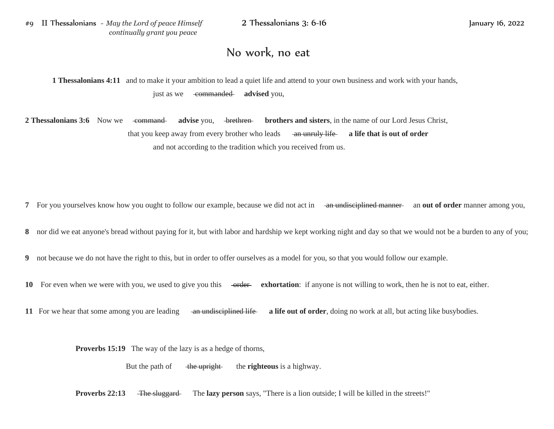## No work, no eat

**1 Thessalonians 4:11** and to make it your ambition to lead a quiet life and attend to your own business and work with your hands, just as we commanded **advised** you,

**2 Thessalonians 3:6** Now we command advise you, brethren **brothers and sisters**, in the name of our Lord Jesus Christ, that you keep away from every brother who leads an unruly life **a life that is out of order** and not according to the tradition which you received from us.

**7** For you yourselves know how you ought to follow our example, because we did not act in an undisciplined manner and out of order manner among you,

**8** nor did we eat anyone's bread without paying for it, but with labor and hardship we kept working night and day so that we would not be a burden to any of you;

**9** not because we do not have the right to this, but in order to offer ourselves as a model for you, so that you would follow our example.

**10** For even when we were with you, we used to give you this order **exhortation**: if anyone is not willing to work, then he is not to eat, either.

**11** For we hear that some among you are leading an undisciplined life a life out of order, doing no work at all, but acting like busybodies.

**Proverbs 15:19** The way of the lazy is as a hedge of thorns,

But the path of the upright the **righteous** is a highway.

**Proverbs 22:13** The sluggard The **lazy person** says, "There is a lion outside; I will be killed in the streets!"